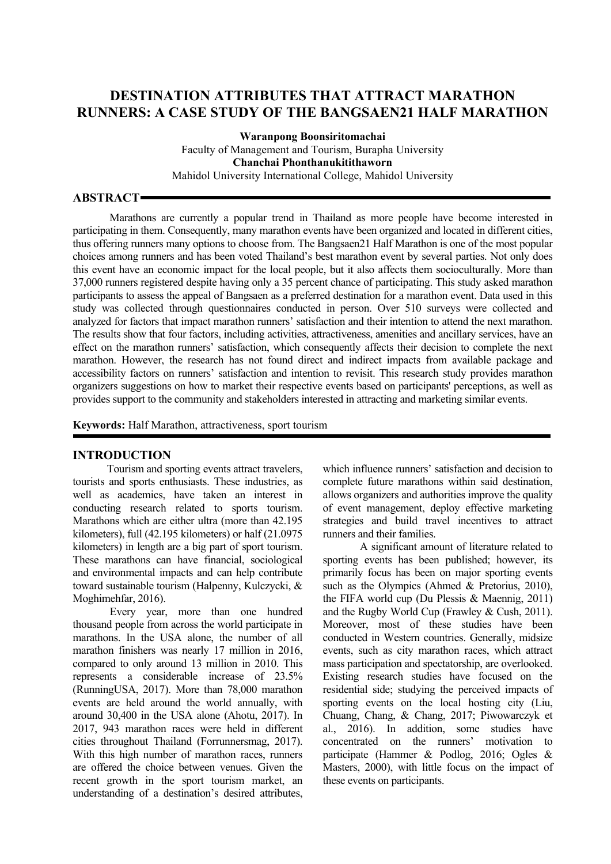# **DESTINATION ATTRIBUTES THAT ATTRACT MARATHON RUNNERS: A CASE STUDY OF THE BANGSAEN21 HALF MARATHON**

**Waranpong Boonsiritomachai** Faculty of Management and Tourism, Burapha University **Chanchai Phonthanukitithaworn** Mahidol University International College, Mahidol University

#### **ABSTRACT**

Marathons are currently a popular trend in Thailand as more people have become interested in participating in them. Consequently, many marathon events have been organized and located in different cities, thus offering runners many options to choose from. The Bangsaen21 Half Marathon is one of the most popular choices among runners and has been voted Thailand's best marathon event by several parties. Not only does this event have an economic impact for the local people, but it also affects them socioculturally. More than 37,000 runners registered despite having only a 35 percent chance of participating. This study asked marathon participants to assess the appeal of Bangsaen as a preferred destination for a marathon event. Data used in this study was collected through questionnaires conducted in person. Over 510 surveys were collected and analyzed for factors that impact marathon runners' satisfaction and their intention to attend the next marathon. The results show that four factors, including activities, attractiveness, amenities and ancillary services, have an effect on the marathon runners' satisfaction, which consequently affects their decision to complete the next marathon. However, the research has not found direct and indirect impacts from available package and accessibility factors on runners' satisfaction and intention to revisit. This research study provides marathon organizers suggestions on how to market their respective events based on participants' perceptions, as well as provides support to the community and stakeholders interested in attracting and marketing similar events.

**Keywords:** Half Marathon, attractiveness, sport tourism

#### **INTRODUCTION**

Tourism and sporting events attract travelers, tourists and sports enthusiasts. These industries, as well as academics, have taken an interest in conducting research related to sports tourism. Marathons which are either ultra (more than 42.195 kilometers), full (42.195 kilometers) or half (21.0975 kilometers) in length are a big part of sport tourism. These marathons can have financial, sociological and environmental impacts and can help contribute toward sustainable tourism (Halpenny, Kulczycki, & Moghimehfar, 2016).

Every year, more than one hundred thousand people from across the world participate in marathons. In the USA alone, the number of all marathon finishers was nearly 17 million in 2016, compared to only around 13 million in 2010. This represents a considerable increase of 23.5% (RunningUSA, 2017). More than 78,000 marathon events are held around the world annually, with around 30,400 in the USA alone (Ahotu, 2017). In 2017, 943 marathon races were held in different cities throughout Thailand (Forrunnersmag, 2017). With this high number of marathon races, runners are offered the choice between venues. Given the recent growth in the sport tourism market, an understanding of a destination's desired attributes,

which influence runners' satisfaction and decision to complete future marathons within said destination, allows organizers and authorities improve the quality of event management, deploy effective marketing strategies and build travel incentives to attract runners and their families.

A significant amount of literature related to sporting events has been published; however, its primarily focus has been on major sporting events such as the Olympics (Ahmed & Pretorius, 2010), the FIFA world cup (Du Plessis & Maennig, 2011) and the Rugby World Cup (Frawley & Cush, 2011). Moreover, most of these studies have been conducted in Western countries. Generally, midsize events, such as city marathon races, which attract mass participation and spectatorship, are overlooked. Existing research studies have focused on the residential side; studying the perceived impacts of sporting events on the local hosting city (Liu, Chuang, Chang, & Chang, 2017; Piwowarczyk et al., 2016). In addition, some studies have concentrated on the runners' motivation to participate (Hammer & Podlog, 2016; Ogles & Masters, 2000), with little focus on the impact of these events on participants.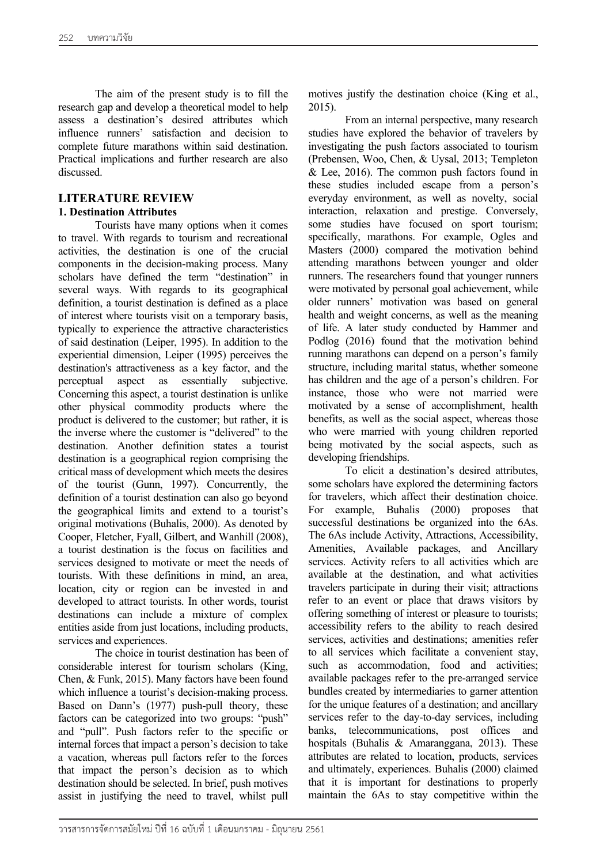The aim of the present study is to fill the research gap and develop a theoretical model to help assess a destination's desired attributes which influence runners' satisfaction and decision to complete future marathons within said destination. Practical implications and further research are also discussed.

#### **LITERATURE REVIEW**

#### **1. Destination Attributes**

Tourists have many options when it comes to travel. With regards to tourism and recreational activities, the destination is one of the crucial components in the decision-making process. Many scholars have defined the term "destination" in several ways. With regards to its geographical definition, a tourist destination is defined as a place of interest where tourists visit on a temporary basis, typically to experience the attractive characteristics of said destination (Leiper, 1995). In addition to the experiential dimension, Leiper (1995) perceives the destination's attractiveness as a key factor, and the perceptual aspect as essentially subjective. Concerning this aspect, a tourist destination is unlike other physical commodity products where the product is delivered to the customer; but rather, it is the inverse where the customer is "delivered" to the destination. Another definition states a tourist destination is a geographical region comprising the critical mass of development which meets the desires of the tourist (Gunn, 1997). Concurrently, the definition of a tourist destination can also go beyond the geographical limits and extend to a tourist's original motivations (Buhalis, 2000). As denoted by Cooper, Fletcher, Fyall, Gilbert, and Wanhill (2008), a tourist destination is the focus on facilities and services designed to motivate or meet the needs of tourists. With these definitions in mind, an area, location, city or region can be invested in and developed to attract tourists. In other words, tourist destinations can include a mixture of complex entities aside from just locations, including products, services and experiences.

The choice in tourist destination has been of considerable interest for tourism scholars (King, Chen, & Funk, 2015). Many factors have been found which influence a tourist's decision-making process. Based on Dann's (1977) push-pull theory, these factors can be categorized into two groups: "push" and "pull". Push factors refer to the specific or internal forces that impact a person's decision to take a vacation, whereas pull factors refer to the forces that impact the person's decision as to which destination should be selected. In brief, push motives assist in justifying the need to travel, whilst pull

motives justify the destination choice (King et al., 2015).

From an internal perspective, many research studies have explored the behavior of travelers by investigating the push factors associated to tourism (Prebensen, Woo, Chen, & Uysal, 2013; Templeton & Lee, 2016). The common push factors found in these studies included escape from a person's everyday environment, as well as novelty, social interaction, relaxation and prestige. Conversely, some studies have focused on sport tourism; specifically, marathons. For example, Ogles and Masters (2000) compared the motivation behind attending marathons between younger and older runners. The researchers found that younger runners were motivated by personal goal achievement, while older runners' motivation was based on general health and weight concerns, as well as the meaning of life. A later study conducted by Hammer and Podlog (2016) found that the motivation behind running marathons can depend on a person's family structure, including marital status, whether someone has children and the age of a person's children. For instance, those who were not married were motivated by a sense of accomplishment, health benefits, as well as the social aspect, whereas those who were married with young children reported being motivated by the social aspects, such as developing friendships.

To elicit a destination's desired attributes, some scholars have explored the determining factors for travelers, which affect their destination choice. For example, Buhalis (2000) proposes that successful destinations be organized into the 6As. The 6As include Activity, Attractions, Accessibility, Amenities, Available packages, and Ancillary services. Activity refers to all activities which are available at the destination, and what activities travelers participate in during their visit; attractions refer to an event or place that draws visitors by offering something of interest or pleasure to tourists; accessibility refers to the ability to reach desired services, activities and destinations; amenities refer to all services which facilitate a convenient stay, such as accommodation, food and activities; available packages refer to the pre-arranged service bundles created by intermediaries to garner attention for the unique features of a destination; and ancillary services refer to the day-to-day services, including banks, telecommunications, post offices and hospitals (Buhalis & Amaranggana, 2013). These attributes are related to location, products, services and ultimately, experiences. Buhalis (2000) claimed that it is important for destinations to properly maintain the 6As to stay competitive within the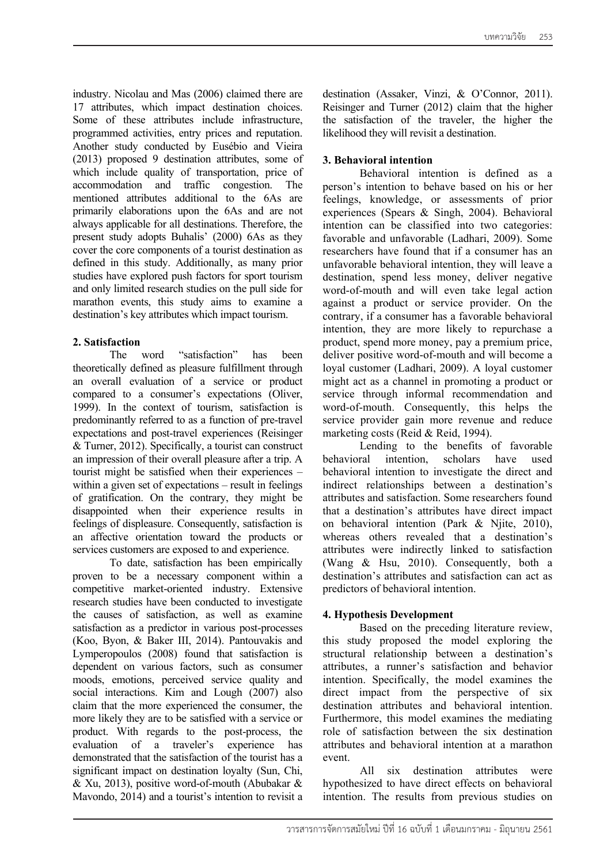industry. Nicolau and Mas (2006) claimed there are 17 attributes, which impact destination choices. Some of these attributes include infrastructure, programmed activities, entry prices and reputation. Another study conducted by Eusébio and Vieira (2013) proposed 9 destination attributes, some of which include quality of transportation, price of accommodation and traffic congestion. The mentioned attributes additional to the 6As are primarily elaborations upon the 6As and are not always applicable for all destinations. Therefore, the present study adopts Buhalis' (2000) 6As as they cover the core components of a tourist destination as defined in this study. Additionally, as many prior studies have explored push factors for sport tourism and only limited research studies on the pull side for marathon events, this study aims to examine a destination's key attributes which impact tourism.

## **2. Satisfaction**

The word "satisfaction" has been theoretically defined as pleasure fulfillment through an overall evaluation of a service or product compared to a consumer's expectations (Oliver, 1999). In the context of tourism, satisfaction is predominantly referred to as a function of pre-travel expectations and post-travel experiences (Reisinger & Turner, 2012). Specifically, a tourist can construct an impression of their overall pleasure after a trip. A tourist might be satisfied when their experiences – within a given set of expectations – result in feelings of gratification. On the contrary, they might be disappointed when their experience results in feelings of displeasure. Consequently, satisfaction is an affective orientation toward the products or services customers are exposed to and experience.

To date, satisfaction has been empirically proven to be a necessary component within a competitive market-oriented industry. Extensive research studies have been conducted to investigate the causes of satisfaction, as well as examine satisfaction as a predictor in various post-processes (Koo, Byon, & Baker III, 2014). Pantouvakis and Lymperopoulos (2008) found that satisfaction is dependent on various factors, such as consumer moods, emotions, perceived service quality and social interactions. Kim and Lough (2007) also claim that the more experienced the consumer, the more likely they are to be satisfied with a service or product. With regards to the post-process, the evaluation of a traveler's experience has demonstrated that the satisfaction of the tourist has a significant impact on destination loyalty (Sun, Chi, & Xu, 2013), positive word-of-mouth (Abubakar & Mavondo, 2014) and a tourist's intention to revisit a

destination (Assaker, Vinzi, & O'Connor, 2011). Reisinger and Turner (2012) claim that the higher the satisfaction of the traveler, the higher the likelihood they will revisit a destination.

# **3. Behavioral intention**

Behavioral intention is defined as a person's intention to behave based on his or her feelings, knowledge, or assessments of prior experiences (Spears & Singh, 2004). Behavioral intention can be classified into two categories: favorable and unfavorable (Ladhari, 2009). Some researchers have found that if a consumer has an unfavorable behavioral intention, they will leave a destination, spend less money, deliver negative word-of-mouth and will even take legal action against a product or service provider. On the contrary, if a consumer has a favorable behavioral intention, they are more likely to repurchase a product, spend more money, pay a premium price, deliver positive word-of-mouth and will become a loyal customer (Ladhari, 2009). A loyal customer might act as a channel in promoting a product or service through informal recommendation and word-of-mouth. Consequently, this helps the service provider gain more revenue and reduce marketing costs (Reid & Reid, 1994).

Lending to the benefits of favorable behavioral intention, scholars have used behavioral intention to investigate the direct and indirect relationships between a destination's attributes and satisfaction. Some researchers found that a destination's attributes have direct impact on behavioral intention (Park & Njite, 2010), whereas others revealed that a destination's attributes were indirectly linked to satisfaction (Wang & Hsu, 2010). Consequently, both a destination's attributes and satisfaction can act as predictors of behavioral intention.

# **4. Hypothesis Development**

Based on the preceding literature review, this study proposed the model exploring the structural relationship between a destination's attributes, a runner's satisfaction and behavior intention. Specifically, the model examines the direct impact from the perspective of six destination attributes and behavioral intention. Furthermore, this model examines the mediating role of satisfaction between the six destination attributes and behavioral intention at a marathon event.

All six destination attributes were hypothesized to have direct effects on behavioral intention. The results from previous studies on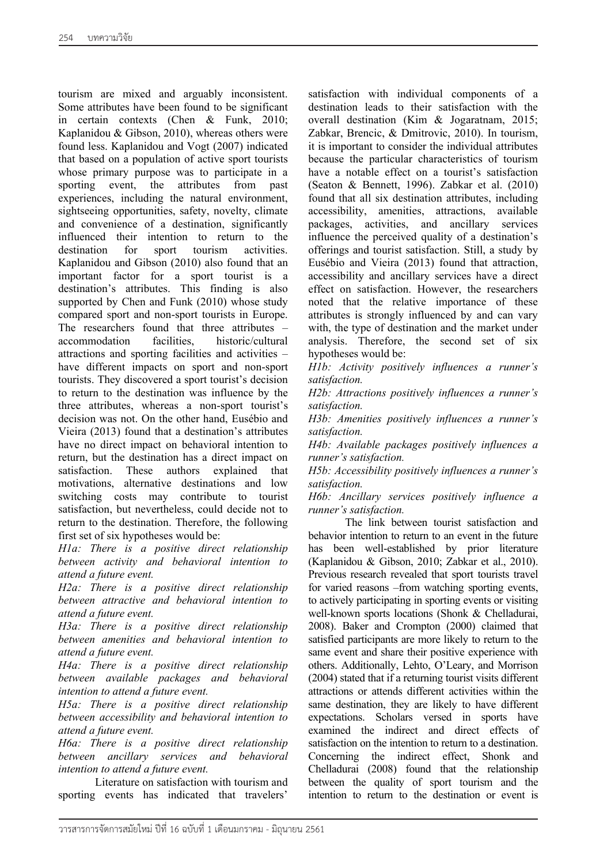tourism are mixed and arguably inconsistent. Some attributes have been found to be significant in certain contexts (Chen & Funk, 2010; Kaplanidou & Gibson, 2010), whereas others were found less. Kaplanidou and Vogt (2007) indicated that based on a population of active sport tourists whose primary purpose was to participate in a sporting event, the attributes from past experiences, including the natural environment, sightseeing opportunities, safety, novelty, climate and convenience of a destination, significantly influenced their intention to return to the destination for sport tourism activities. Kaplanidou and Gibson (2010) also found that an important factor for a sport tourist is a destination's attributes. This finding is also supported by Chen and Funk (2010) whose study compared sport and non-sport tourists in Europe. The researchers found that three attributes – accommodation facilities, historic/cultural attractions and sporting facilities and activities – have different impacts on sport and non-sport tourists. They discovered a sport tourist's decision to return to the destination was influence by the three attributes, whereas a non-sport tourist's decision was not. On the other hand, Eusébio and Vieira (2013) found that a destination's attributes have no direct impact on behavioral intention to return, but the destination has a direct impact on satisfaction. These authors explained that motivations, alternative destinations and low switching costs may contribute to tourist satisfaction, but nevertheless, could decide not to return to the destination. Therefore, the following first set of six hypotheses would be:

*H1a: There is a positive direct relationship between activity and behavioral intention to attend a future event.*

*H2a: There is a positive direct relationship between attractive and behavioral intention to attend a future event.*

*H3a: There is a positive direct relationship between amenities and behavioral intention to attend a future event.*

*H4a: There is a positive direct relationship between available packages and behavioral intention to attend a future event.*

*H5a: There is a positive direct relationship between accessibility and behavioral intention to attend a future event.*

*H6a: There is a positive direct relationship between ancillary services and behavioral intention to attend a future event.*

Literature on satisfaction with tourism and sporting events has indicated that travelers'

satisfaction with individual components of a destination leads to their satisfaction with the overall destination (Kim & Jogaratnam, 2015; Zabkar, Brencic, & Dmitrovic, 2010). In tourism, it is important to consider the individual attributes because the particular characteristics of tourism have a notable effect on a tourist's satisfaction (Seaton & Bennett, 1996). Zabkar et al. (2010) found that all six destination attributes, including accessibility, amenities, attractions, available packages, activities, and ancillary services influence the perceived quality of a destination's offerings and tourist satisfaction. Still, a study by Eusébio and Vieira (2013) found that attraction, accessibility and ancillary services have a direct effect on satisfaction. However, the researchers noted that the relative importance of these attributes is strongly influenced by and can vary with, the type of destination and the market under analysis. Therefore, the second set of six hypotheses would be:

*H1b: Activity positively influences a runner's satisfaction.*

*H2b: Attractions positively influences a runner's satisfaction.*

*H3b: Amenities positively influences a runner's satisfaction.*

*H4b: Available packages positively influences a runner's satisfaction.*

*H5b: Accessibility positively influences a runner's satisfaction.*

*H6b: Ancillary services positively influence a runner's satisfaction.*

The link between tourist satisfaction and behavior intention to return to an event in the future has been well-established by prior literature (Kaplanidou & Gibson, 2010; Zabkar et al., 2010). Previous research revealed that sport tourists travel for varied reasons –from watching sporting events, to actively participating in sporting events or visiting well-known sports locations (Shonk & Chelladurai, 2008). Baker and Crompton (2000) claimed that satisfied participants are more likely to return to the same event and share their positive experience with others. Additionally, Lehto, O'Leary, and Morrison (2004) stated that if a returning tourist visits different attractions or attends different activities within the same destination, they are likely to have different expectations. Scholars versed in sports have examined the indirect and direct effects of satisfaction on the intention to return to a destination. Concerning the indirect effect, Shonk and Chelladurai (2008) found that the relationship between the quality of sport tourism and the intention to return to the destination or event is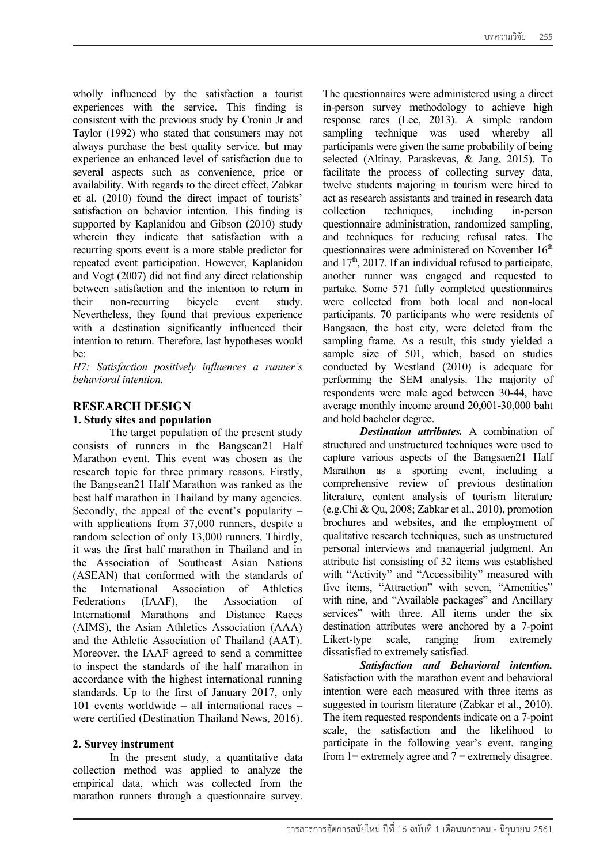wholly influenced by the satisfaction a tourist experiences with the service. This finding is consistent with the previous study by Cronin Jr and Taylor (1992) who stated that consumers may not always purchase the best quality service, but may experience an enhanced level of satisfaction due to several aspects such as convenience, price or availability. With regards to the direct effect, Zabkar et al. (2010) found the direct impact of tourists' satisfaction on behavior intention. This finding is supported by Kaplanidou and Gibson (2010) study wherein they indicate that satisfaction with a recurring sports event is a more stable predictor for repeated event participation. However, Kaplanidou and Vogt (2007) did not find any direct relationship between satisfaction and the intention to return in their non-recurring bicycle event study. Nevertheless, they found that previous experience with a destination significantly influenced their intention to return. Therefore, last hypotheses would be:

*H7: Satisfaction positively influences a runner's behavioral intention.*

## **RESEARCH DESIGN**

#### **1. Study sites and population**

The target population of the present study consists of runners in the Bangsean21 Half Marathon event. This event was chosen as the research topic for three primary reasons. Firstly, the Bangsean21 Half Marathon was ranked as the best half marathon in Thailand by many agencies. Secondly, the appeal of the event's popularity – with applications from 37,000 runners, despite a random selection of only 13,000 runners. Thirdly, it was the first half marathon in Thailand and in the Association of Southeast Asian Nations (ASEAN) that conformed with the standards of the International Association of Athletics Federations (IAAF), the Association of International Marathons and Distance Races (AIMS), the Asian Athletics Association (AAA) and the Athletic Association of Thailand (AAT). Moreover, the IAAF agreed to send a committee to inspect the standards of the half marathon in accordance with the highest international running standards. Up to the first of January 2017, only 101 events worldwide – all international races – were certified (Destination Thailand News, 2016).

#### **2. Survey instrument**

In the present study, a quantitative data collection method was applied to analyze the empirical data, which was collected from the marathon runners through a questionnaire survey.

The questionnaires were administered using a direct in-person survey methodology to achieve high response rates (Lee, 2013). A simple random sampling technique was used whereby all participants were given the same probability of being selected (Altinay, Paraskevas, & Jang, 2015). To facilitate the process of collecting survey data, twelve students majoring in tourism were hired to act as research assistants and trained in research data collection techniques, including in-person questionnaire administration, randomized sampling, and techniques for reducing refusal rates. The questionnaires were administered on November  $16<sup>th</sup>$ and  $17<sup>th</sup>$ , 2017. If an individual refused to participate, another runner was engaged and requested to partake. Some 571 fully completed questionnaires were collected from both local and non-local participants. 70 participants who were residents of Bangsaen, the host city, were deleted from the sampling frame. As a result, this study yielded a sample size of 501, which, based on studies conducted by Westland (2010) is adequate for performing the SEM analysis. The majority of respondents were male aged between 30-44, have average monthly income around 20,001-30,000 baht and hold bachelor degree.

*Destination attributes.* A combination of structured and unstructured techniques were used to capture various aspects of the Bangsaen21 Half Marathon as a sporting event, including a comprehensive review of previous destination literature, content analysis of tourism literature (e.g.Chi & Qu, 2008; Zabkar et al., 2010), promotion brochures and websites, and the employment of qualitative research techniques, such as unstructured personal interviews and managerial judgment. An attribute list consisting of 32 items was established with "Activity" and "Accessibility" measured with five items, "Attraction" with seven, "Amenities" with nine, and "Available packages" and Ancillary services" with three. All items under the six destination attributes were anchored by a 7-point Likert-type scale, ranging from extremely dissatisfied to extremely satisfied.

*Satisfaction and Behavioral intention.* Satisfaction with the marathon event and behavioral intention were each measured with three items as suggested in tourism literature (Zabkar et al., 2010). The item requested respondents indicate on a 7-point scale, the satisfaction and the likelihood to participate in the following year's event, ranging from 1= extremely agree and  $7$  = extremely disagree.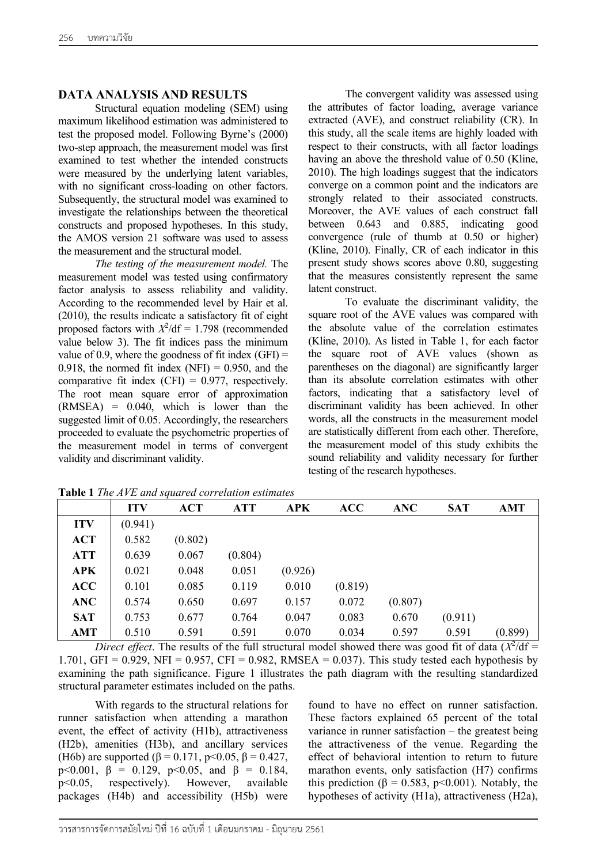### **DATA ANALYSIS AND RESULTS**

Structural equation modeling (SEM) using maximum likelihood estimation was administered to test the proposed model. Following Byrne's (2000) two-step approach, the measurement model was first examined to test whether the intended constructs were measured by the underlying latent variables, with no significant cross-loading on other factors. Subsequently, the structural model was examined to investigate the relationships between the theoretical constructs and proposed hypotheses. In this study, the AMOS version 21 software was used to assess the measurement and the structural model.

*The testing of the measurement model.* The measurement model was tested using confirmatory factor analysis to assess reliability and validity. According to the recommended level by Hair et al. (2010), the results indicate a satisfactory fit of eight proposed factors with  $X^2/df = 1.798$  (recommended value below 3). The fit indices pass the minimum value of 0.9, where the goodness of fit index  $(GFI)$  = 0.918, the normed fit index (NFI)  $= 0.950$ , and the comparative fit index  $(CFI) = 0.977$ , respectively. The root mean square error of approximation (RMSEA) = 0.040, which is lower than the suggested limit of 0.05. Accordingly, the researchers proceeded to evaluate the psychometric properties of the measurement model in terms of convergent validity and discriminant validity.

The convergent validity was assessed using the attributes of factor loading, average variance extracted (AVE), and construct reliability (CR). In this study, all the scale items are highly loaded with respect to their constructs, with all factor loadings having an above the threshold value of 0.50 (Kline, 2010). The high loadings suggest that the indicators converge on a common point and the indicators are strongly related to their associated constructs. Moreover, the AVE values of each construct fall between 0.643 and 0.885, indicating good convergence (rule of thumb at 0.50 or higher) (Kline, 2010). Finally, CR of each indicator in this present study shows scores above 0.80, suggesting that the measures consistently represent the same latent construct.

To evaluate the discriminant validity, the square root of the AVE values was compared with the absolute value of the correlation estimates (Kline, 2010). As listed in Table 1, for each factor the square root of AVE values (shown as parentheses on the diagonal) are significantly larger than its absolute correlation estimates with other factors, indicating that a satisfactory level of discriminant validity has been achieved. In other words, all the constructs in the measurement model are statistically different from each other. Therefore, the measurement model of this study exhibits the sound reliability and validity necessary for further testing of the research hypotheses.

| TWOTO I THO III II WHAT SHING ON COIL ONWERT CSWINGES |            |         |            |            |         |            |            |         |  |  |  |
|-------------------------------------------------------|------------|---------|------------|------------|---------|------------|------------|---------|--|--|--|
|                                                       | <b>ITV</b> | ACT     | <b>ATT</b> | <b>APK</b> | ACC     | <b>ANC</b> | <b>SAT</b> | AMT     |  |  |  |
| <b>ITV</b>                                            | (0.941)    |         |            |            |         |            |            |         |  |  |  |
| <b>ACT</b>                                            | 0.582      | (0.802) |            |            |         |            |            |         |  |  |  |
| <b>ATT</b>                                            | 0.639      | 0.067   | (0.804)    |            |         |            |            |         |  |  |  |
| <b>APK</b>                                            | 0.021      | 0.048   | 0.051      | (0.926)    |         |            |            |         |  |  |  |
| ACC                                                   | 0.101      | 0.085   | 0.119      | 0.010      | (0.819) |            |            |         |  |  |  |
| <b>ANC</b>                                            | 0.574      | 0.650   | 0.697      | 0.157      | 0.072   | (0.807)    |            |         |  |  |  |
| <b>SAT</b>                                            | 0.753      | 0.677   | 0.764      | 0.047      | 0.083   | 0.670      | (0.911)    |         |  |  |  |
| AMT                                                   | 0.510      | 0.591   | 0.591      | 0.070      | 0.034   | 0.597      | 0.591      | (0.899) |  |  |  |

**Table 1** *The AVE and squared correlation estimates*

*Direct effect*. The results of the full structural model showed there was good fit of data  $(X^2/df =$ 1.701, GFI = 0.929, NFI = 0.957, CFI = 0.982, RMSEA = 0.037). This study tested each hypothesis by examining the path significance. Figure 1 illustrates the path diagram with the resulting standardized structural parameter estimates included on the paths.

With regards to the structural relations for runner satisfaction when attending a marathon event, the effect of activity (H1b), attractiveness (H2b), amenities (H3b), and ancillary services (H6b) are supported ( $\beta$  = 0.171, p<0.05,  $\beta$  = 0.427, p<0.001,  $\beta = 0.129$ , p<0.05, and  $\beta = 0.184$ , p<0.05, respectively). However, available packages (H4b) and accessibility (H5b) were

found to have no effect on runner satisfaction. These factors explained 65 percent of the total variance in runner satisfaction – the greatest being the attractiveness of the venue. Regarding the effect of behavioral intention to return to future marathon events, only satisfaction (H7) confirms this prediction ( $\beta = 0.583$ , p<0.001). Notably, the hypotheses of activity (H1a), attractiveness (H2a),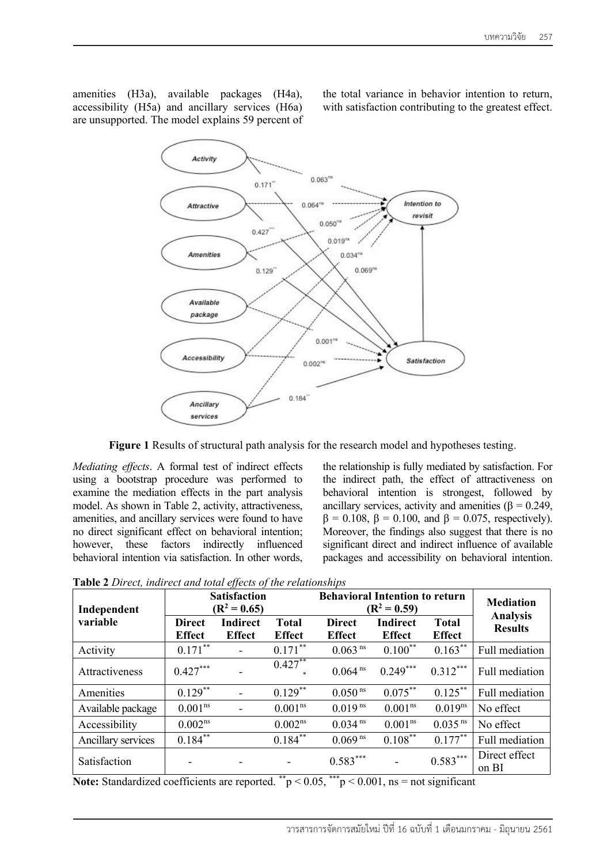amenities (H3a), available packages (H4a), accessibility (H5a) and ancillary services (H6a) are unsupported. The model explains 59 percent of the total variance in behavior intention to return, with satisfaction contributing to the greatest effect.



**Figure 1** Results of structural path analysis for the research model and hypotheses testing.

*Mediating effects*. A formal test of indirect effects using a bootstrap procedure was performed to examine the mediation effects in the part analysis model. As shown in Table 2, activity, attractiveness, amenities, and ancillary services were found to have no direct significant effect on behavioral intention; however, these factors indirectly influenced behavioral intention via satisfaction. In other words, the relationship is fully mediated by satisfaction. For the indirect path, the effect of attractiveness on behavioral intention is strongest, followed by ancillary services, activity and amenities ( $\beta$  = 0.249,  $β = 0.108, β = 0.100, and β = 0.075, respectively.$ Moreover, the findings also suggest that there is no significant direct and indirect influence of available packages and accessibility on behavioral intention.

| Independent        | <b>Satisfaction</b><br>$(R^2 = 0.65)$ |                                  |                               | <b>Behavioral Intention to return</b><br>$(R^2 = 0.59)$ | <b>Mediation</b>                 |                               |                                   |  |
|--------------------|---------------------------------------|----------------------------------|-------------------------------|---------------------------------------------------------|----------------------------------|-------------------------------|-----------------------------------|--|
| variable           | <b>Direct</b><br><b>Effect</b>        | <b>Indirect</b><br><b>Effect</b> | <b>Total</b><br><b>Effect</b> | <b>Direct</b><br><b>Effect</b>                          | <b>Indirect</b><br><b>Effect</b> | <b>Total</b><br><b>Effect</b> | <b>Analysis</b><br><b>Results</b> |  |
| Activity           | $0.171***$                            | $\blacksquare$                   | $0.171***$                    | $0.063$ <sup>ns</sup>                                   | $0.100***$                       | $0.163***$                    | Full mediation                    |  |
| Attractiveness     | $0.427***$                            |                                  | $0.427**$                     | 0.064 <sup>ns</sup>                                     | $0.249***$                       | $0.312***$                    | Full mediation                    |  |
| Amenities          | $0.129***$                            | $\overline{\phantom{0}}$         | $0.129***$                    | $0.050$ <sup>ns</sup>                                   | $0.075***$                       | $0.125***$                    | Full mediation                    |  |
| Available package  | 0.001 <sup>ns</sup>                   |                                  | 0.001 <sup>ns</sup>           | $0.019$ <sup>ns</sup>                                   | 0.001 <sup>ns</sup>              | $0.019^{ns}$                  | No effect                         |  |
| Accessibility      | $0.002^{ns}$                          |                                  | $0.002^{ns}$                  | $0.034$ <sup>ns</sup>                                   | 0.001 <sup>ns</sup>              | $0.035$ <sup>ns</sup>         | No effect                         |  |
| Ancillary services | $0.184***$                            |                                  | $0.184***$                    | $0.069$ <sup>ns</sup>                                   | $0.108***$                       | $0.177***$                    | Full mediation                    |  |
| Satisfaction       | $\overline{\phantom{a}}$              |                                  |                               | $0.583***$<br>de de de                                  |                                  | $0.583***$                    | Direct effect<br>on BI            |  |

**Table 2** *Direct, indirect and total effects of the relationships*

**Note:** Standardized coefficients are reported.  $^*p < 0.05$ ,  $^{**}p < 0.001$ , ns = not significant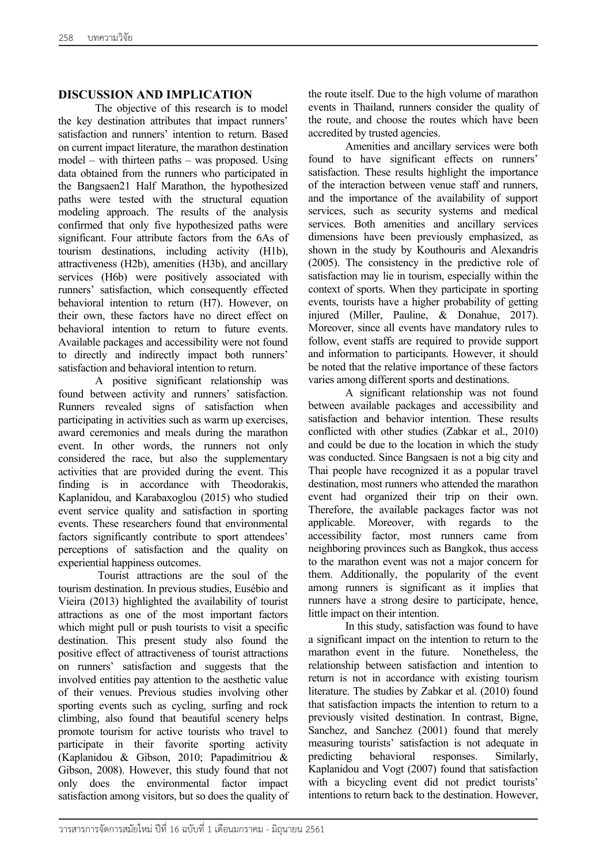## **DISCUSSION AND IMPLICATION**

The objective of this research is to model the key destination attributes that impact runners' satisfaction and runners' intention to return. Based on current impact literature, the marathon destination model – with thirteen paths – was proposed. Using data obtained from the runners who participated in the Bangsaen21 Half Marathon, the hypothesized paths were tested with the structural equation modeling approach. The results of the analysis confirmed that only five hypothesized paths were significant. Four attribute factors from the 6As of tourism destinations, including activity (H1b), attractiveness (H2b), amenities (H3b), and ancillary services (H6b) were positively associated with runners' satisfaction, which consequently effected behavioral intention to return (H7). However, on their own, these factors have no direct effect on behavioral intention to return to future events. Available packages and accessibility were not found to directly and indirectly impact both runners' satisfaction and behavioral intention to return.

A positive significant relationship was found between activity and runners' satisfaction. Runners revealed signs of satisfaction when participating in activities such as warm up exercises, award ceremonies and meals during the marathon event. In other words, the runners not only considered the race, but also the supplementary activities that are provided during the event. This finding is in accordance with Theodorakis, Kaplanidou, and Karabaxoglou (2015) who studied event service quality and satisfaction in sporting events. These researchers found that environmental factors significantly contribute to sport attendees' perceptions of satisfaction and the quality on experiential happiness outcomes.

Tourist attractions are the soul of the tourism destination. In previous studies, Eusébio and Vieira (2013) highlighted the availability of tourist attractions as one of the most important factors which might pull or push tourists to visit a specific destination. This present study also found the positive effect of attractiveness of tourist attractions on runners' satisfaction and suggests that the involved entities pay attention to the aesthetic value of their venues. Previous studies involving other sporting events such as cycling, surfing and rock climbing, also found that beautiful scenery helps promote tourism for active tourists who travel to participate in their favorite sporting activity (Kaplanidou & Gibson, 2010; Papadimitriou & Gibson, 2008). However, this study found that not only does the environmental factor impact satisfaction among visitors, but so does the quality of the route itself. Due to the high volume of marathon events in Thailand, runners consider the quality of the route, and choose the routes which have been accredited by trusted agencies.

Amenities and ancillary services were both found to have significant effects on runners' satisfaction. These results highlight the importance of the interaction between venue staff and runners, and the importance of the availability of support services, such as security systems and medical services. Both amenities and ancillary services dimensions have been previously emphasized, as shown in the study by Kouthouris and Alexandris (2005). The consistency in the predictive role of satisfaction may lie in tourism, especially within the context of sports. When they participate in sporting events, tourists have a higher probability of getting injured (Miller, Pauline, & Donahue, 2017). Moreover, since all events have mandatory rules to follow, event staffs are required to provide support and information to participants. However, it should be noted that the relative importance of these factors varies among different sports and destinations.

A significant relationship was not found between available packages and accessibility and satisfaction and behavior intention. These results conflicted with other studies (Zabkar et al., 2010) and could be due to the location in which the study was conducted. Since Bangsaen is not a big city and Thai people have recognized it as a popular travel destination, most runners who attended the marathon event had organized their trip on their own. Therefore, the available packages factor was not applicable. Moreover, with regards to the accessibility factor, most runners came from neighboring provinces such as Bangkok, thus access to the marathon event was not a major concern for them. Additionally, the popularity of the event among runners is significant as it implies that runners have a strong desire to participate, hence, little impact on their intention.

In this study, satisfaction was found to have a significant impact on the intention to return to the marathon event in the future. Nonetheless, the relationship between satisfaction and intention to return is not in accordance with existing tourism literature. The studies by Zabkar et al. (2010) found that satisfaction impacts the intention to return to a previously visited destination. In contrast, Bigne, Sanchez, and Sanchez (2001) found that merely measuring tourists' satisfaction is not adequate in predicting behavioral responses. Similarly, Kaplanidou and Vogt (2007) found that satisfaction with a bicycling event did not predict tourists' intentions to return back to the destination. However,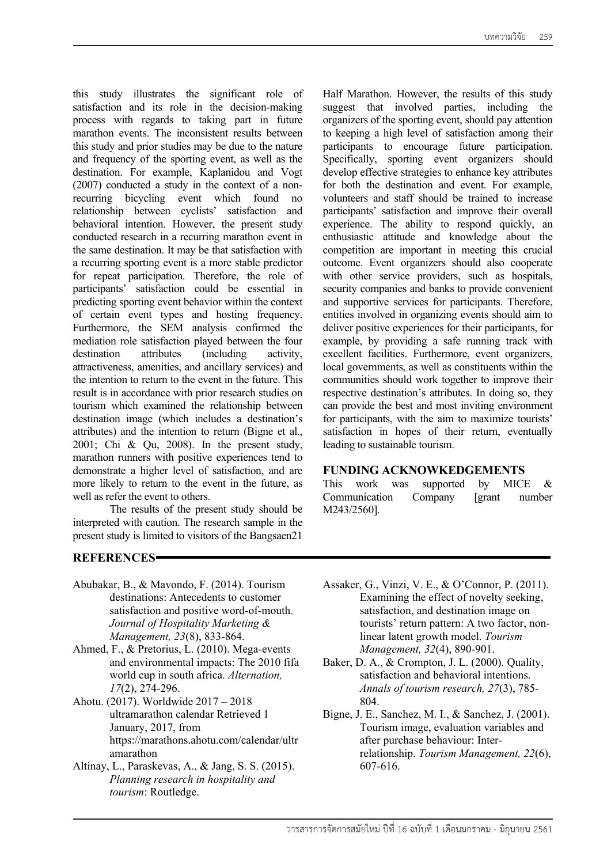this study illustrates the significant role of satisfaction and its role in the decision-making process with regards to taking part in future marathon events. The inconsistent results between this study and prior studies may be due to the nature and frequency of the sporting event, as well as the destination. For example, Kaplanidou and Vogt (2007) conducted a study in the context of a nonrecurring bicycling event which found no relationship between cyclists' satisfaction and behavioral intention. However, the present study conducted research in a recurring marathon event in the same destination. It may be that satisfaction with a recurring sporting event is a more stable predictor for repeat participation. Therefore, the role of participants' satisfaction could be essential in predicting sporting event behavior within the context of certain event types and hosting frequency. Furthermore, the SEM analysis confirmed the mediation role satisfaction played between the four destination attributes (including activity, attractiveness, amenities, and ancillary services) and the intention to return to the event in the future. This result is in accordance with prior research studies on tourism which examined the relationship between destination image (which includes a destination's attributes) and the intention to return (Bigne et al., 2001; Chi & Qu, 2008). In the present study, marathon runners with positive experiences tend to demonstrate a higher level of satisfaction, and are more likely to return to the event in the future, as well as refer the event to others.

The results of the present study should be interpreted with caution. The research sample in the present study is limited to visitors of the Bangsaen21

# **REFERENCES**

Half Marathon. However, the results of this study suggest that involved parties, including the organizers of the sporting event, should pay attention to keeping a high level of satisfaction among their participants to encourage future participation. Specifically, sporting event organizers should develop effective strategies to enhance key attributes for both the destination and event. For example, volunteers and staff should be trained to increase participants' satisfaction and improve their overall experience. The ability to respond quickly, an enthusiastic attitude and knowledge about the competition are important in meeting this crucial outcome. Event organizers should also cooperate with other service providers, such as hospitals, security companies and banks to provide convenient and supportive services for participants. Therefore, entities involved in organizing events should aim to deliver positive experiences for their participants, for example, by providing a safe running track with excellent facilities. Furthermore, event organizers, local governments, as well as constituents within the communities should work together to improve their respective destination's attributes. In doing so, they can provide the best and most inviting environment for participants, with the aim to maximize tourists' satisfaction in hopes of their return, eventually leading to sustainable tourism.

## **FUNDING ACKNOWKEDGEMENTS**

This work was supported by MICE & Communication Company [grant number M243/2560].

- Abubakar, B., & Mavondo, F. (2014). Tourism destinations: Antecedents to customer satisfaction and positive word-of-mouth. *Journal of Hospitality Marketing & Management, 23*(8), 833-864.
- Ahmed, F., & Pretorius, L. (2010). Mega-events and environmental impacts: The 2010 fifa world cup in south africa. *Alternation, 17*(2), 274-296.
- Ahotu. (2017). Worldwide 2017 2018 ultramarathon calendar Retrieved 1 January, 2017, from https://marathons.ahotu.com/calendar/ultr amarathon
- Altinay, L., Paraskevas, A., & Jang, S. S. (2015). *Planning research in hospitality and tourism*: Routledge.
- Assaker, G., Vinzi, V. E., & O'Connor, P. (2011). Examining the effect of novelty seeking, satisfaction, and destination image on tourists' return pattern: A two factor, nonlinear latent growth model. *Tourism Management, 32*(4), 890-901.
- Baker, D. A., & Crompton, J. L. (2000). Quality, satisfaction and behavioral intentions. *Annals of tourism research, 27*(3), 785- 804.
- Bigne, J. E., Sanchez, M. I., & Sanchez, J. (2001). Tourism image, evaluation variables and after purchase behaviour: Interrelationship. *Tourism Management, 22*(6), 607-616.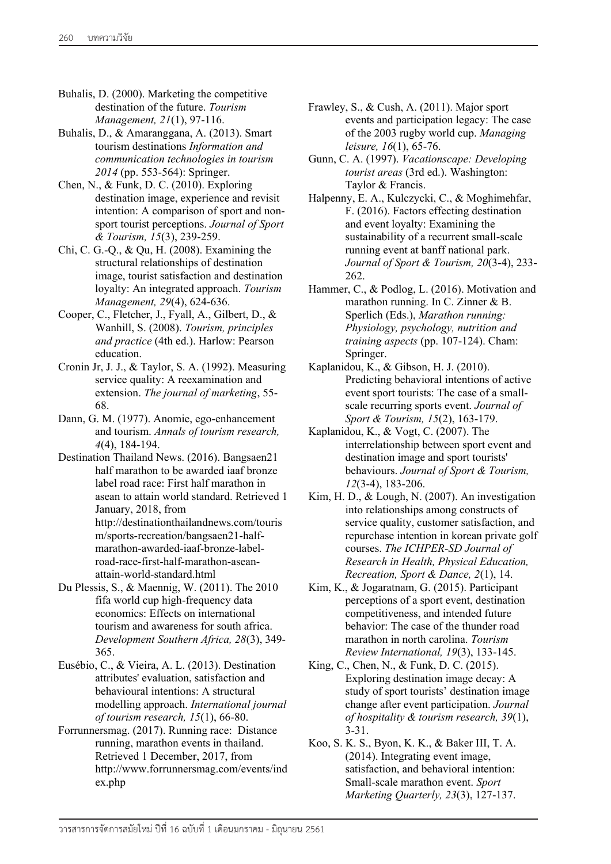- Buhalis, D. (2000). Marketing the competitive destination of the future. *Tourism Management, 21*(1), 97-116.
- Buhalis, D., & Amaranggana, A. (2013). Smart tourism destinations *Information and communication technologies in tourism 2014* (pp. 553-564): Springer.
- Chen, N., & Funk, D. C. (2010). Exploring destination image, experience and revisit intention: A comparison of sport and nonsport tourist perceptions. *Journal of Sport & Tourism, 15*(3), 239-259.
- Chi, C. G.-Q., & Qu, H. (2008). Examining the structural relationships of destination image, tourist satisfaction and destination loyalty: An integrated approach. *Tourism Management, 29*(4), 624-636.
- Cooper, C., Fletcher, J., Fyall, A., Gilbert, D., & Wanhill, S. (2008). *Tourism, principles and practice* (4th ed.). Harlow: Pearson education.
- Cronin Jr, J. J., & Taylor, S. A. (1992). Measuring service quality: A reexamination and extension. *The journal of marketing*, 55- 68.
- Dann, G. M. (1977). Anomie, ego-enhancement and tourism. *Annals of tourism research, 4*(4), 184-194.
- Destination Thailand News. (2016). Bangsaen21 half marathon to be awarded iaaf bronze label road race: First half marathon in asean to attain world standard. Retrieved 1 January, 2018, from http://destinationthailandnews.com/touris m/sports-recreation/bangsaen21-halfmarathon-awarded-iaaf-bronze-labelroad-race-first-half-marathon-aseanattain-world-standard.html
- Du Plessis, S., & Maennig, W. (2011). The 2010 fifa world cup high-frequency data economics: Effects on international tourism and awareness for south africa. *Development Southern Africa, 28*(3), 349- 365.
- Eusébio, C., & Vieira, A. L. (2013). Destination attributes' evaluation, satisfaction and behavioural intentions: A structural modelling approach. *International journal of tourism research, 15*(1), 66-80.
- Forrunnersmag. (2017). Running race: Distance running, marathon events in thailand. Retrieved 1 December, 2017, from http://www.forrunnersmag.com/events/ind ex.php
- Frawley, S., & Cush, A. (2011). Major sport events and participation legacy: The case of the 2003 rugby world cup. *Managing leisure, 16*(1), 65-76.
- Gunn, C. A. (1997). *Vacationscape: Developing tourist areas* (3rd ed.). Washington: Taylor & Francis.
- Halpenny, E. A., Kulczycki, C., & Moghimehfar, F. (2016). Factors effecting destination and event loyalty: Examining the sustainability of a recurrent small-scale running event at banff national park. *Journal of Sport & Tourism, 20*(3-4), 233- 262.
- Hammer, C., & Podlog, L. (2016). Motivation and marathon running. In C. Zinner & B. Sperlich (Eds.), *Marathon running: Physiology, psychology, nutrition and training aspects* (pp. 107-124). Cham: Springer.
- Kaplanidou, K., & Gibson, H. J. (2010). Predicting behavioral intentions of active event sport tourists: The case of a smallscale recurring sports event. *Journal of Sport & Tourism, 15*(2), 163-179.
- Kaplanidou, K., & Vogt, C. (2007). The interrelationship between sport event and destination image and sport tourists' behaviours. *Journal of Sport & Tourism, 12*(3-4), 183-206.
- Kim, H. D., & Lough, N. (2007). An investigation into relationships among constructs of service quality, customer satisfaction, and repurchase intention in korean private golf courses. *The ICHPER-SD Journal of Research in Health, Physical Education, Recreation, Sport & Dance, 2*(1), 14.
- Kim, K., & Jogaratnam, G. (2015). Participant perceptions of a sport event, destination competitiveness, and intended future behavior: The case of the thunder road marathon in north carolina. *Tourism Review International, 19*(3), 133-145.
- King, C., Chen, N., & Funk, D. C. (2015). Exploring destination image decay: A study of sport tourists' destination image change after event participation. *Journal of hospitality & tourism research, 39*(1), 3-31.
- Koo, S. K. S., Byon, K. K., & Baker III, T. A. (2014). Integrating event image, satisfaction, and behavioral intention: Small-scale marathon event. *Sport Marketing Quarterly, 23*(3), 127-137.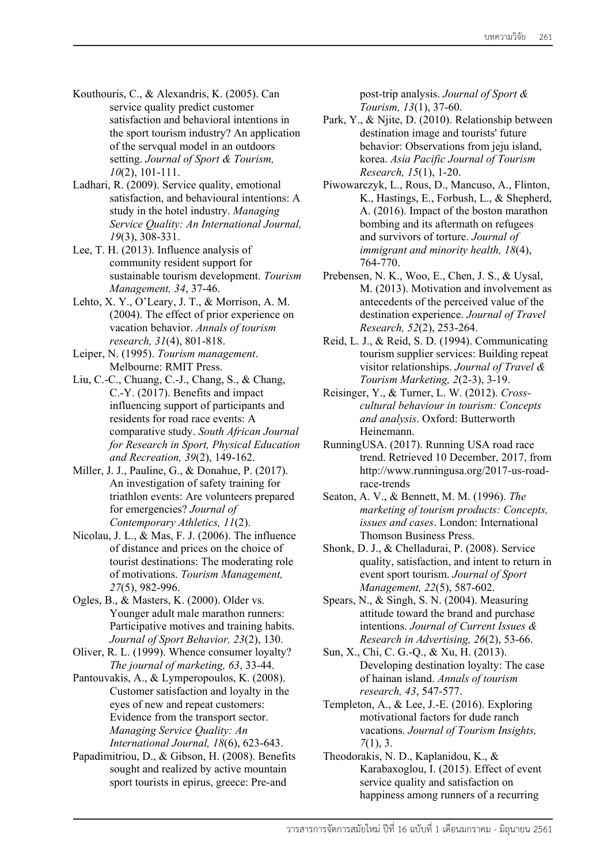- Kouthouris, C., & Alexandris, K. (2005). Can service quality predict customer satisfaction and behavioral intentions in the sport tourism industry? An application of the servqual model in an outdoors setting. *Journal of Sport & Tourism, 10*(2), 101-111.
- Ladhari, R. (2009). Service quality, emotional satisfaction, and behavioural intentions: A study in the hotel industry. *Managing Service Quality: An International Journal, 19*(3), 308-331.
- Lee, T. H. (2013). Influence analysis of community resident support for sustainable tourism development. *Tourism Management, 34*, 37-46.
- Lehto, X. Y., O'Leary, J. T., & Morrison, A. M. (2004). The effect of prior experience on vacation behavior. *Annals of tourism research, 31*(4), 801-818.
- Leiper, N. (1995). *Tourism management*. Melbourne: RMIT Press.
- Liu, C.-C., Chuang, C.-J., Chang, S., & Chang, C.-Y. (2017). Benefits and impact influencing support of participants and residents for road race events: A comparative study. *South African Journal for Research in Sport, Physical Education and Recreation, 39*(2), 149-162.
- Miller, J. J., Pauline, G., & Donahue, P. (2017). An investigation of safety training for triathlon events: Are volunteers prepared for emergencies? *Journal of Contemporary Athletics, 11*(2).
- Nicolau, J. L., & Mas, F. J. (2006). The influence of distance and prices on the choice of tourist destinations: The moderating role of motivations. *Tourism Management, 27*(5), 982-996.
- Ogles, B., & Masters, K. (2000). Older vs. Younger adult male marathon runners: Participative motives and training habits. *Journal of Sport Behavior, 23*(2), 130.
- Oliver, R. L. (1999). Whence consumer loyalty? *The journal of marketing, 63*, 33-44.
- Pantouvakis, A., & Lymperopoulos, K. (2008). Customer satisfaction and loyalty in the eyes of new and repeat customers: Evidence from the transport sector. *Managing Service Quality: An International Journal, 18*(6), 623-643.
- Papadimitriou, D., & Gibson, H. (2008). Benefits sought and realized by active mountain sport tourists in epirus, greece: Pre-and

post-trip analysis. *Journal of Sport & Tourism, 13*(1), 37-60.

- Park, Y., & Njite, D. (2010). Relationship between destination image and tourists' future behavior: Observations from jeju island, korea. *Asia Pacific Journal of Tourism Research, 15*(1), 1-20.
- Piwowarczyk, L., Rous, D., Mancuso, A., Flinton, K., Hastings, E., Forbush, L., & Shepherd, A. (2016). Impact of the boston marathon bombing and its aftermath on refugees and survivors of torture. *Journal of immigrant and minority health, 18*(4), 764-770.
- Prebensen, N. K., Woo, E., Chen, J. S., & Uysal, M. (2013). Motivation and involvement as antecedents of the perceived value of the destination experience. *Journal of Travel Research, 52*(2), 253-264.
- Reid, L. J., & Reid, S. D. (1994). Communicating tourism supplier services: Building repeat visitor relationships. *Journal of Travel & Tourism Marketing, 2*(2-3), 3-19.
- Reisinger, Y., & Turner, L. W. (2012). *Crosscultural behaviour in tourism: Concepts and analysis*. Oxford: Butterworth Heinemann.
- RunningUSA. (2017). Running USA road race trend. Retrieved 10 December, 2017, from http://www.runningusa.org/2017-us-roadrace-trends
- Seaton, A. V., & Bennett, M. M. (1996). *The marketing of tourism products: Concepts, issues and cases*. London: International Thomson Business Press.
- Shonk, D. J., & Chelladurai, P. (2008). Service quality, satisfaction, and intent to return in event sport tourism. *Journal of Sport Management, 22*(5), 587-602.
- Spears, N., & Singh, S. N. (2004). Measuring attitude toward the brand and purchase intentions. *Journal of Current Issues & Research in Advertising, 26*(2), 53-66.
- Sun, X., Chi, C. G.-Q., & Xu, H. (2013). Developing destination loyalty: The case of hainan island. *Annals of tourism research, 43*, 547-577.
- Templeton, A., & Lee, J.-E. (2016). Exploring motivational factors for dude ranch vacations. *Journal of Tourism Insights, 7*(1), 3.
- Theodorakis, N. D., Kaplanidou, K., & Karabaxoglou, I. (2015). Effect of event service quality and satisfaction on happiness among runners of a recurring